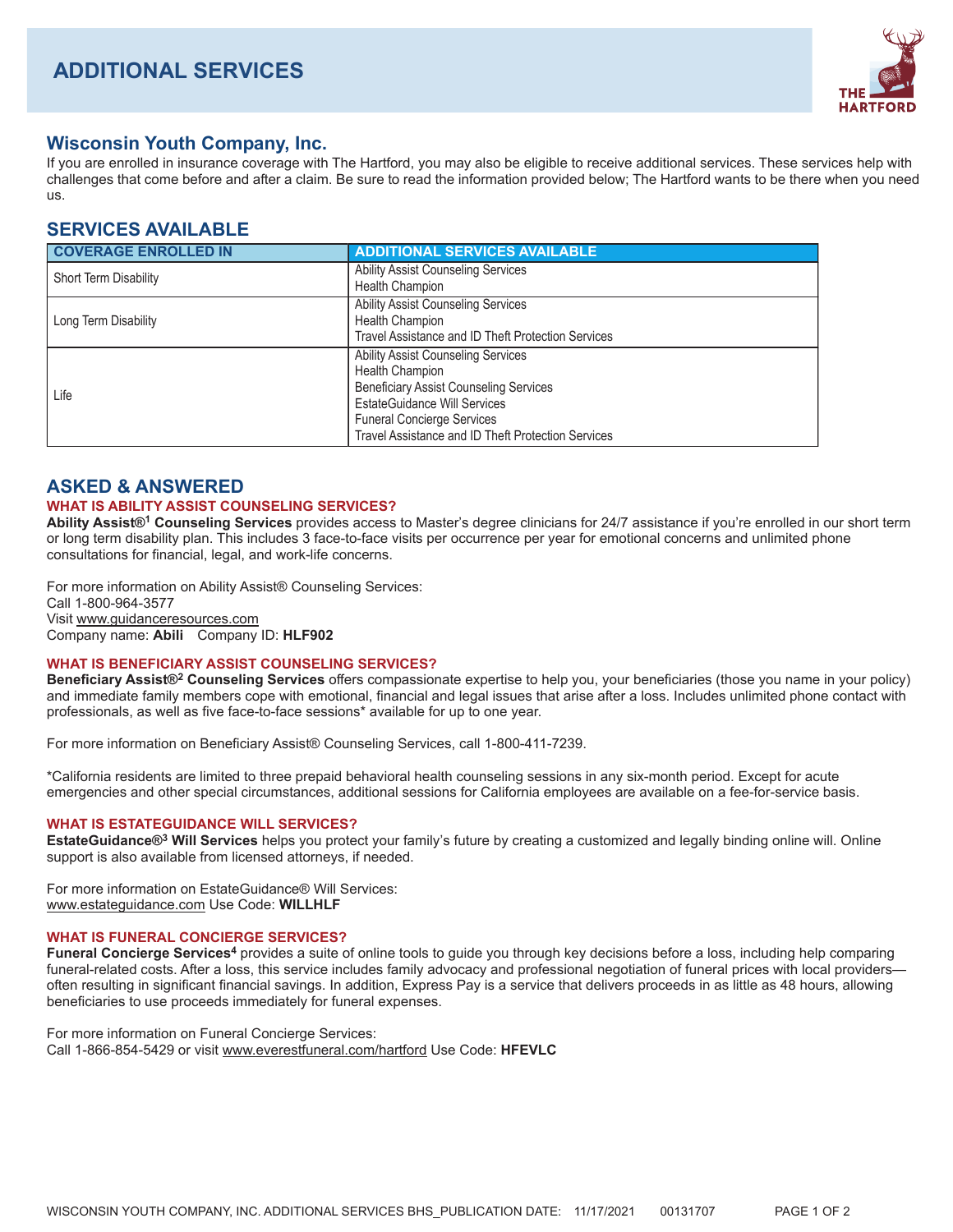

# **Wisconsin Youth Company, Inc.**

If you are enrolled in insurance coverage with The Hartford, you may also be eligible to receive additional services. These services help with challenges that come before and after a claim. Be sure to read the information provided below; The Hartford wants to be there when you need US.

# **SERVICES AVAILABLE**

| <b>COVERAGE ENROLLED IN</b>  | <b>ADDITIONAL SERVICES AVAILABLE</b>                                                                                                                                                                                                                   |
|------------------------------|--------------------------------------------------------------------------------------------------------------------------------------------------------------------------------------------------------------------------------------------------------|
| <b>Short Term Disability</b> | <b>Ability Assist Counseling Services</b><br><b>Health Champion</b>                                                                                                                                                                                    |
| Long Term Disability         | <b>Ability Assist Counseling Services</b><br>Health Champion<br>Travel Assistance and ID Theft Protection Services                                                                                                                                     |
| Life                         | <b>Ability Assist Counseling Services</b><br><b>Health Champion</b><br><b>Beneficiary Assist Counseling Services</b><br><b>EstateGuidance Will Services</b><br><b>Funeral Concierge Services</b><br>Travel Assistance and ID Theft Protection Services |

## **ASKED & ANSWERED**

### **WHAT IS ABILITY ASSIST COUNSELING SERVICES?**

Ability Assist®<sup>1</sup> Counseling Services provides access to Master's degree clinicians for 24/7 assistance if you're enrolled in our short term or long term disability plan. This includes 3 face-to-face visits per occurrence per year for emotional concerns and unlimited phone consultations for financial, legal, and work-life concerns.

For more information on Ability Assist® Counseling Services: Call 1-800-964-3577 Visit www.guidanceresources.com Company name: Abili Company ID: HLF902

### **WHAT IS BENEFICIARY ASSIST COUNSELING SERVICES?**

Beneficiary Assist®<sup>2</sup> Counseling Services offers compassionate expertise to help you, your beneficiaries (those you name in your policy) and immediate family members cope with emotional, financial and legal issues that arise after a loss. Includes unlimited phone contact with professionals, as well as five face-to-face sessions\* available for up to one year.

For more information on Beneficiary Assist® Counseling Services, call 1-800-411-7239.

\*California residents are limited to three prepaid behavioral health counseling sessions in any six-month period. Except for acute emergencies and other special circumstances, additional sessions for California employees are available on a fee-for-service basis.

### **WHAT IS ESTATEGUIDANCE WILL SERVICES?**

EstateGuidance<sup>®</sup> Will Services helps you protect your family's future by creating a customized and legally binding online will. Online support is also available from licensed attorneys, if needed.

For more information on EstateGuidance® Will Services: www.estateguidance.com Use Code: WILLHLF

### **WHAT IS FUNERAL CONCIERGE SERVICES?**

Funeral Concierge Services<sup>4</sup> provides a suite of online tools to guide you through key decisions before a loss, including help comparing funeral-related costs. After a loss, this service includes family advocacy and professional negotiation of funeral prices with local providersoften resulting in significant financial savings. In addition, Express Pay is a service that delivers proceeds in as little as 48 hours, allowing beneficiaries to use proceeds immediately for funeral expenses.

For more information on Funeral Concierge Services:

Call 1-866-854-5429 or visit www.everestfuneral.com/hartford Use Code: HFEVLC